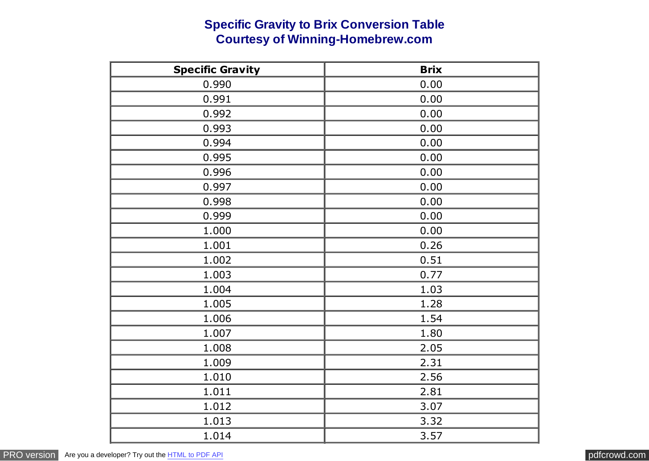## **Specific Gravity to Brix Conversion Table Courtesy of Winning-Homebrew.com**

| <b>Specific Gravity</b> | <b>Brix</b> |
|-------------------------|-------------|
| 0.990                   | 0.00        |
| 0.991                   | 0.00        |
| 0.992                   | 0.00        |
| 0.993                   | 0.00        |
| 0.994                   | 0.00        |
| 0.995                   | 0.00        |
| 0.996                   | 0.00        |
| 0.997                   | 0.00        |
| 0.998                   | 0.00        |
| 0.999                   | 0.00        |
| 1.000                   | 0.00        |
| 1.001                   | 0.26        |
| 1.002                   | 0.51        |
| 1.003                   | 0.77        |
| 1.004                   | 1.03        |
| 1.005                   | 1.28        |
| 1.006                   | 1.54        |
| 1.007                   | 1.80        |
| 1.008                   | 2.05        |
| 1.009                   | 2.31        |
| 1.010                   | 2.56        |
| 1.011                   | 2.81        |
| 1.012                   | 3.07        |
| 1.013                   | 3.32        |
| 1.014                   | 3.57        |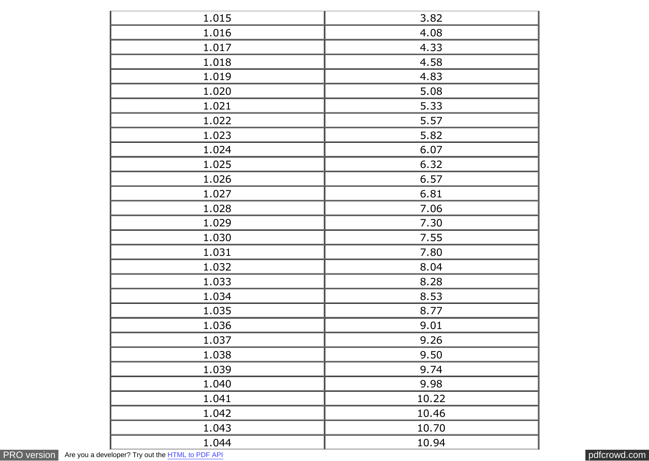| 1.015 | 3.82  |
|-------|-------|
| 1.016 | 4.08  |
| 1.017 | 4.33  |
| 1.018 | 4.58  |
| 1.019 | 4.83  |
| 1.020 | 5.08  |
| 1.021 | 5.33  |
| 1.022 | 5.57  |
| 1.023 | 5.82  |
| 1.024 | 6.07  |
| 1.025 | 6.32  |
| 1.026 | 6.57  |
| 1.027 | 6.81  |
| 1.028 | 7.06  |
| 1.029 | 7.30  |
| 1.030 | 7.55  |
| 1.031 | 7.80  |
| 1.032 | 8.04  |
| 1.033 | 8.28  |
| 1.034 | 8.53  |
| 1.035 | 8.77  |
| 1.036 | 9.01  |
| 1.037 | 9.26  |
| 1.038 | 9.50  |
| 1.039 | 9.74  |
| 1.040 | 9.98  |
| 1.041 | 10.22 |
| 1.042 | 10.46 |
| 1.043 | 10.70 |
| 1.044 | 10.94 |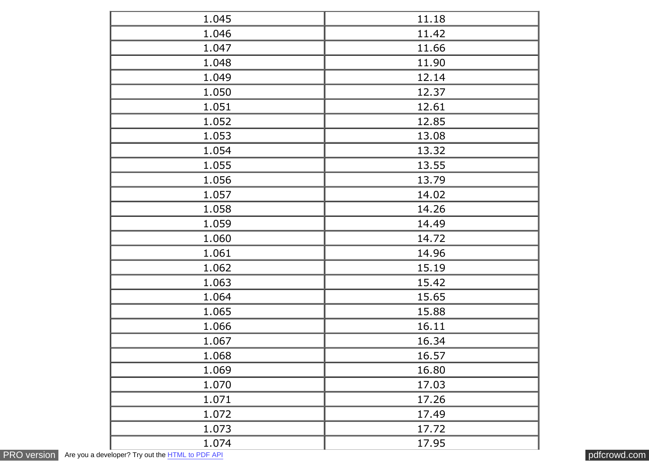| 1.045 | 11.18 |
|-------|-------|
| 1.046 | 11.42 |
| 1.047 | 11.66 |
| 1.048 | 11.90 |
| 1.049 | 12.14 |
| 1.050 | 12.37 |
| 1.051 | 12.61 |
| 1.052 | 12.85 |
| 1.053 | 13.08 |
| 1.054 | 13.32 |
| 1.055 | 13.55 |
| 1.056 | 13.79 |
| 1.057 | 14.02 |
| 1.058 | 14.26 |
| 1.059 | 14.49 |
| 1.060 | 14.72 |
| 1.061 | 14.96 |
| 1.062 | 15.19 |
| 1.063 | 15.42 |
| 1.064 | 15.65 |
| 1.065 | 15.88 |
| 1.066 | 16.11 |
| 1.067 | 16.34 |
| 1.068 | 16.57 |
| 1.069 | 16.80 |
| 1.070 | 17.03 |
| 1.071 | 17.26 |
| 1.072 | 17.49 |
| 1.073 | 17.72 |
| 1.074 | 17.95 |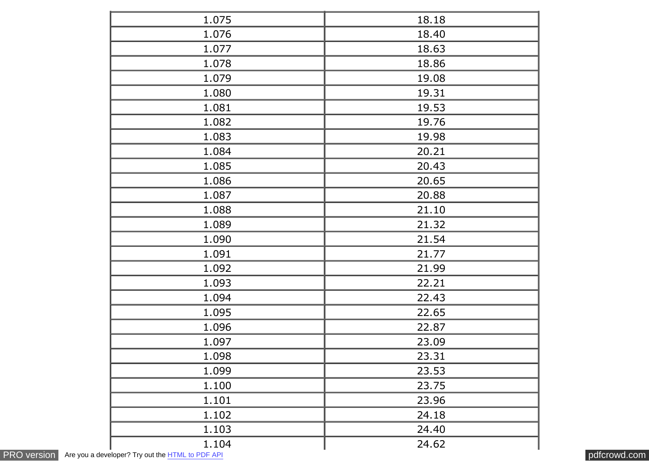| 1.075 | 18.18 |
|-------|-------|
| 1.076 | 18.40 |
| 1.077 | 18.63 |
| 1.078 | 18.86 |
| 1.079 | 19.08 |
| 1.080 | 19.31 |
| 1.081 | 19.53 |
| 1.082 | 19.76 |
| 1.083 | 19.98 |
| 1.084 | 20.21 |
| 1.085 | 20.43 |
| 1.086 | 20.65 |
| 1.087 | 20.88 |
| 1.088 | 21.10 |
| 1.089 | 21.32 |
| 1.090 | 21.54 |
| 1.091 | 21.77 |
| 1.092 | 21.99 |
| 1.093 | 22.21 |
| 1.094 | 22.43 |
| 1.095 | 22.65 |
| 1.096 | 22.87 |
| 1.097 | 23.09 |
| 1.098 | 23.31 |
| 1.099 | 23.53 |
| 1.100 | 23.75 |
| 1.101 | 23.96 |
| 1.102 | 24.18 |
| 1.103 | 24.40 |
| 1.104 | 24.62 |